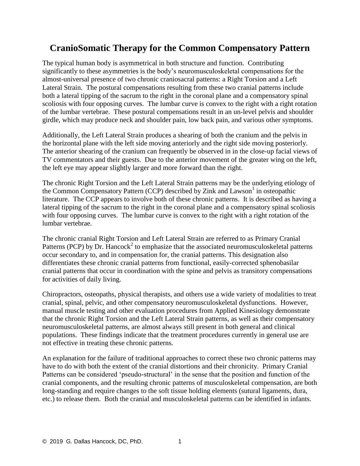## **CranioSomatic Therapy for the Common Compensatory Pattern**

The typical human body is asymmetrical in both structure and function. Contributing significantly to these asymmetries is the body's neuromusculoskeletal compensations for the almost-universal presence of two chronic craniosacral patterns: a Right Torsion and a Left Lateral Strain. The postural compensations resulting from these two cranial patterns include both a lateral tipping of the sacrum to the right in the coronal plane and a compensatory spinal scoliosis with four opposing curves. The lumbar curve is convex to the right with a right rotation of the lumbar vertebrae. These postural compensations result in an un-level pelvis and shoulder girdle, which may produce neck and shoulder pain, low back pain, and various other symptoms.

Additionally, the Left Lateral Strain produces a shearing of both the cranium and the pelvis in the horizontal plane with the left side moving anteriorly and the right side moving posteriorly. The anterior shearing of the cranium can frequently be observed in in the close-up facial views of TV commentators and their guests. Due to the anterior movement of the greater wing on the left, the left eye may appear slightly larger and more forward than the right.

The chronic Right Torsion and the Left Lateral Strain patterns may be the underlying etiology of the Common Compensatory Pattern (CCP) described by Zink and Lawson<sup>1</sup> in osteopathic literature. The CCP appears to involve both of these chronic patterns. It is described as having a lateral tipping of the sacrum to the right in the coronal plane and a compensatory spinal scoliosis with four opposing curves. The lumbar curve is convex to the right with a right rotation of the lumbar vertebrae.

The chronic cranial Right Torsion and Left Lateral Strain are referred to as Primary Cranial Patterns (PCP) by Dr. Hancock<sup>2</sup> to emphasize that the associated neuromusculoskeletal patterns occur secondary to, and in compensation for, the cranial patterns. This designation also differentiates these chronic cranial patterns from functional, easily-corrected sphenobasilar cranial patterns that occur in coordination with the spine and pelvis as transitory compensations for activities of daily living.

Chiropractors, osteopaths, physical therapists, and others use a wide variety of modalities to treat cranial, spinal, pelvic, and other compensatory neuromusculoskeletal dysfunctions. However, manual muscle testing and other evaluation procedures from Applied Kinesiology demonstrate that the chronic Right Torsion and the Left Lateral Strain patterns, as well as their compensatory neuromusculoskeletal patterns, are almost always still present in both general and clinical populations. These findings indicate that the treatment procedures currently in general use are not effective in treating these chronic patterns.

An explanation for the failure of traditional approaches to correct these two chronic patterns may have to do with both the extent of the cranial distortions and their chronicity. Primary Cranial Patterns can be considered 'pseudo-structural' in the sense that the position and function of the cranial components, and the resulting chronic patterns of musculoskeletal compensation, are both long-standing and require changes to the soft tissue holding elements (sutural ligaments, dura, etc.) to release them. Both the cranial and musculoskeletal patterns can be identified in infants.